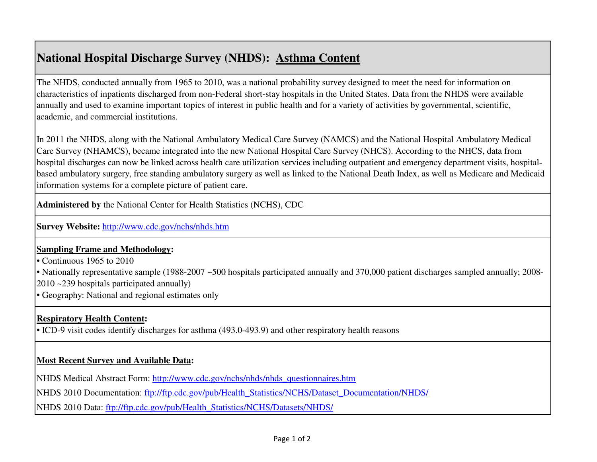# **National Hospital Discharge Survey (NHDS): Asthma Content**

The NHDS, conducted annually from 1965 to 2010, was a national probability survey designed to meet the need for information on characteristics of inpatients discharged from non-Federal short-stay hospitals in the United States. Data from the NHDS were available annually and used to examine important topics of interest in public health and for a variety of activities by governmental, scientific, academic, and commercial institutions.

In 2011 the NHDS, along with the National Ambulatory Medical Care Survey (NAMCS) and the National Hospital Ambulatory Medical Care Survey (NHAMCS), became integrated into the new National Hospital Care Survey (NHCS). According to the NHCS, data from hospital discharges can now be linked across health care utilization services including outpatient and emergency department visits, hospitalbased ambulatory surgery, free standing ambulatory surgery as well as linked to the National Death Index, as well as Medicare and Medicaid information systems for a complete picture of patient care.

**Administered by** the National Center for Health Statistics (NCHS), CDC

**Survey Website:** http://www.cdc.gov/nchs/nhds.htm

## **Sampling Frame and Methodology:**

• Continuous 1965 to 2010

• Nationally representative sample (1988-2007 ~500 hospitals participated annually and 370,000 patient discharges sampled annually; 2008-2010 ~239 hospitals participated annually)

• Geography: National and regional estimates only

# **Respiratory Health Content:**

• ICD-9 visit codes identify discharges for asthma (493.0-493.9) and other respiratory health reasons

## **Most Recent Survey and Available Data:**

NHDS Medical Abstract Form: http://www.cdc.gov/nchs/nhds/nhds\_questionnaires.htm

NHDS 2010 Documentation: ftp://ftp.cdc.gov/pub/Health\_Statistics/NCHS/Dataset\_Documentation/NHDS/

NHDS 2010 Data: ftp://ftp.cdc.gov/pub/Health\_Statistics/NCHS/Datasets/NHDS/